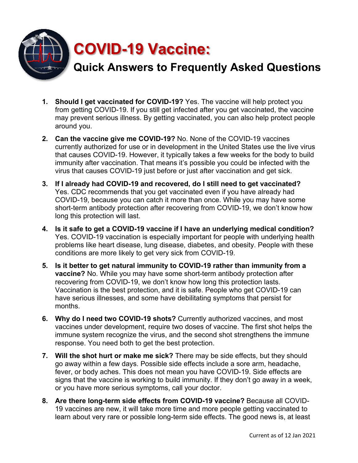

- **1. Should I get vaccinated for COVID-19?** Yes. The vaccine will help protect you from getting COVID-19. If you still get infected after you get vaccinated, the vaccine may prevent serious illness. By getting vaccinated, you can also help protect people around you.
- **2. Can the vaccine give me COVID-19?** No. None of the COVID-19 vaccines currently authorized for use or in development in the United States use the live virus that causes COVID-19. However, it typically takes a few weeks for the body to build immunity after vaccination. That means it's possible you could be infected with the virus that causes COVID-19 just before or just after vaccination and get sick.
- **3. If I already had COVID-19 and recovered, do I still need to get vaccinated?** Yes. CDC recommends that you get vaccinated even if you have already had COVID-19, because you can catch it more than once. While you may have some short-term antibody protection after recovering from COVID-19, we don't know how long this protection will last.
- **4. Is it safe to get a COVID-19 vaccine if I have an underlying medical condition?** Yes. COVID-19 vaccination is especially important for people with underlying health problems like heart disease, lung disease, diabetes, and obesity. People with these conditions are more likely to get very sick from COVID-19.
- **5. Is it better to get natural immunity to COVID-19 rather than immunity from a vaccine?** No. While you may have some short-term antibody protection after recovering from COVID-19, we don't know how long this protection lasts. Vaccination is the best protection, and it is safe. People who get COVID-19 can have serious illnesses, and some have debilitating symptoms that persist for months.
- **6. Why do I need two COVID-19 shots?** Currently authorized vaccines, and most vaccines under development, require two doses of vaccine. The first shot helps the immune system recognize the virus, and the second shot strengthens the immune response. You need both to get the best protection.
- **7. Will the shot hurt or make me sick?** There may be side effects, but they should go away within a few days. Possible side effects include a sore arm, headache, fever, or body aches. This does not mean you have COVID-19. Side effects are signs that the vaccine is working to build immunity. If they don't go away in a week, or you have more serious symptoms, call your doctor.
- **8. Are there long-term side effects from COVID-19 vaccine?** Because all COVID-19 vaccines are new, it will take more time and more people getting vaccinated to learn about very rare or possible long-term side effects. The good news is, at least